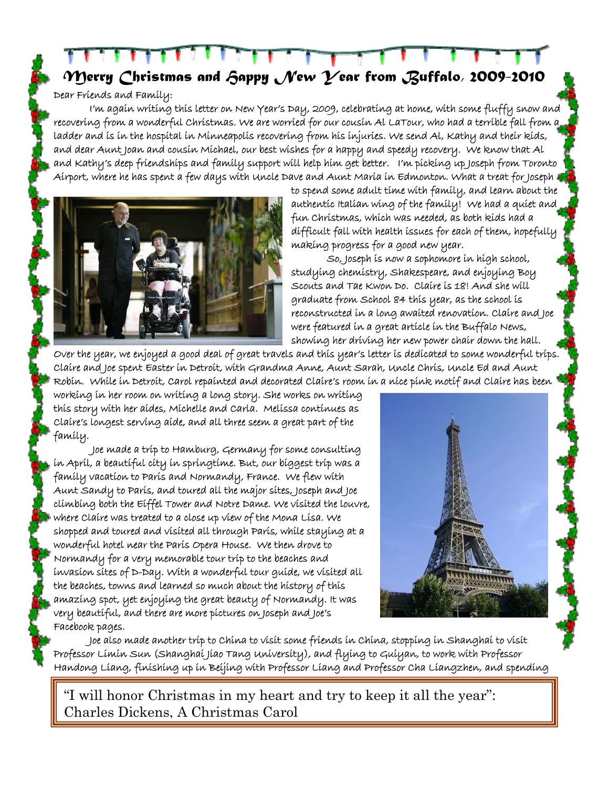*Merry Christmas and Happy New Year from Buffalo, 2009-2010* 

Dear Friends and Family:

I'm again writing this letter on New Year's Day, 2009, celebrating at home, with some fluffy snow and recovering from a wonderful Christmas. We are worried for our cousin Al LaTour, who had a terrible fall from a ladder and is in the hospital in Minneapolis recovering from his injuries. We send Al, Kathy and their kids, and dear Aunt Joan and cousin Michael, our best wishes for a happy and speedy recovery. We know that Al and Kathy's deep friendships and family support will help him get better. I'm picking up Joseph from Toronto Airport, where he has spent a few days with Uncle Dave and Aunt Maria in Edmonton. What a treat for Joseph



to spend some adult time with family, and learn about the authentic Italian wing of the family! We had a quiet and fun Christmas, which was needed, as both kids had a difficult fall with health issues for each of them, hopefully making progress for a good new year.

So, Joseph is now a sophomore in high school, studying chemistry, Shakespeare, and enjoying Boy Scouts and Tae Kwon Do. Claire is 18! And she will graduate from School 84 this year, as the school is reconstructed in a long awaited renovation. Claire and Joe were featured in a great article in the Buffalo News, showing her driving her new power chair down the hall.

Over the year, we enjoyed a good deal of great travels and this year's letter is dedicated to some wonderful trips. Claire and Joe spent Easter in Detroit, with Grandma Anne, Aunt Sarah, Uncle Chris, Uncle Ed and Aunt Robin. While in Detroit, Carol repainted and decorated Claire's room in a nice pink motif and Claire has been

working in her room on writing a long story. She works on writing this story with her aides, Michelle and Carla. Melissa continues as Claire's longest serving aide, and all three seem a great part of the family.

 Joe made a trip to Hamburg, Germany for some consulting in April, a beautiful city in springtime. But, our biggest trip was a family vacation to Paris and Normandy, France. We flew with Aunt Sandy to Paris, and toured all the major sites, Joseph and Joe climbing both the Eiffel Tower and Notre Dame. We visited the louvre, where Claire was treated to a close up view of the Mona Lisa. We shopped and toured and visited all through Paris, while staying at a wonderful hotel near the Paris Opera House. We then drove to Normandy for a very memorable tour trip to the beaches and invasion sites of D-Day. With a wonderful tour guide, we visited all the beaches, towns and learned so much about the history of this amazing spot, yet enjoying the great beauty of Normandy. It was very beautiful, and there are more pictures on Joseph and Joe's Facebook pages.



Joe also made another trip to China to visit some friends in China, stopping in Shanghai to visit Professor Limin Sun (Shanghai Jiao Tang University), and flying to Guiyan, to work with Professor Handong Liang, finishing up in Beijing with Professor Liang and Professor Cha Liangzhen, and spending

"I will honor Christmas in my heart and try to keep it all the year": Charles Dickens, A Christmas Carol